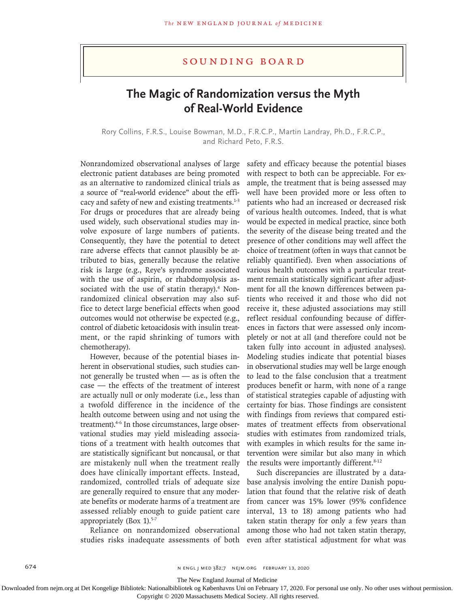# Sounding Board

# **The Magic of Randomization versus the Myth of Real-World Evidence**

Rory Collins, F.R.S., Louise Bowman, M.D., F.R.C.P., Martin Landray, Ph.D., F.R.C.P., and Richard Peto, F.R.S.

Nonrandomized observational analyses of large electronic patient databases are being promoted as an alternative to randomized clinical trials as a source of "real-world evidence" about the efficacy and safety of new and existing treatments.1-3 For drugs or procedures that are already being used widely, such observational studies may involve exposure of large numbers of patients. Consequently, they have the potential to detect rare adverse effects that cannot plausibly be attributed to bias, generally because the relative risk is large (e.g., Reye's syndrome associated with the use of aspirin, or rhabdomyolysis associated with the use of statin therapy).<sup>4</sup> Nonrandomized clinical observation may also suffice to detect large beneficial effects when good outcomes would not otherwise be expected (e.g., control of diabetic ketoacidosis with insulin treatment, or the rapid shrinking of tumors with chemotherapy).

However, because of the potential biases inherent in observational studies, such studies cannot generally be trusted when — as is often the case — the effects of the treatment of interest are actually null or only moderate (i.e., less than a twofold difference in the incidence of the health outcome between using and not using the treatment).4-6 In those circumstances, large observational studies may yield misleading associations of a treatment with health outcomes that are statistically significant but noncausal, or that are mistakenly null when the treatment really does have clinically important effects. Instead, randomized, controlled trials of adequate size are generally required to ensure that any moderate benefits or moderate harms of a treatment are assessed reliably enough to guide patient care appropriately (Box 1).<sup>5-7</sup>

Reliance on nonrandomized observational studies risks inadequate assessments of both

safety and efficacy because the potential biases with respect to both can be appreciable. For example, the treatment that is being assessed may well have been provided more or less often to patients who had an increased or decreased risk of various health outcomes. Indeed, that is what would be expected in medical practice, since both the severity of the disease being treated and the presence of other conditions may well affect the choice of treatment (often in ways that cannot be reliably quantified). Even when associations of various health outcomes with a particular treatment remain statistically significant after adjustment for all the known differences between patients who received it and those who did not receive it, these adjusted associations may still reflect residual confounding because of differences in factors that were assessed only incompletely or not at all (and therefore could not be taken fully into account in adjusted analyses). Modeling studies indicate that potential biases in observational studies may well be large enough to lead to the false conclusion that a treatment produces benefit or harm, with none of a range of statistical strategies capable of adjusting with certainty for bias. Those findings are consistent with findings from reviews that compared estimates of treatment effects from observational studies with estimates from randomized trials, with examples in which results for the same intervention were similar but also many in which the results were importantly different.<sup>8-12</sup>

Such discrepancies are illustrated by a database analysis involving the entire Danish population that found that the relative risk of death from cancer was 15% lower (95% confidence interval, 13 to 18) among patients who had taken statin therapy for only a few years than among those who had not taken statin therapy, even after statistical adjustment for what was

674 n engl j med 382;7 nejm.org February 13, 2020

The New England Journal of Medicine

Downloaded from nejm.org at Det Kongelige Bibliotek: Nationalbibliotek og Københavns Uni on February 17, 2020. For personal use only. No other uses without permission.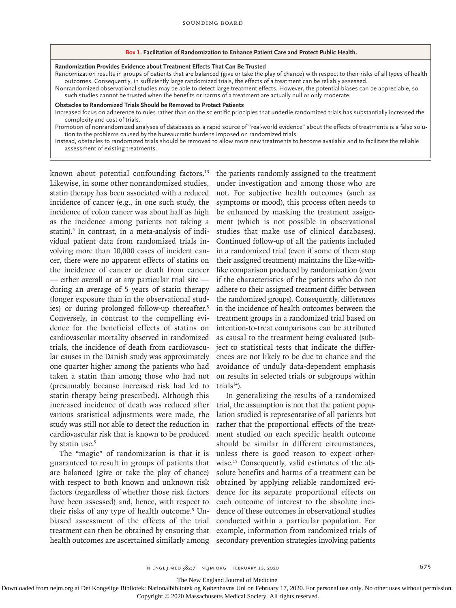#### **Box 1. Facilitation of Randomization to Enhance Patient Care and Protect Public Health.**

**Randomization Provides Evidence about Treatment Effects That Can Be Trusted**

Randomization results in groups of patients that are balanced (give or take the play of chance) with respect to their risks of all types of health outcomes. Consequently, in sufficiently large randomized trials, the effects of a treatment can be reliably assessed.

Nonrandomized observational studies may be able to detect large treatment effects. However, the potential biases can be appreciable, so such studies cannot be trusted when the benefits or harms of a treatment are actually null or only moderate.

**Obstacles to Randomized Trials Should be Removed to Protect Patients**

Increased focus on adherence to rules rather than on the scientific principles that underlie randomized trials has substantially increased the complexity and cost of trials.

Promotion of nonrandomized analyses of databases as a rapid source of "real-world evidence" about the effects of treatments is a false solution to the problems caused by the bureaucratic burdens imposed on randomized trials.

Instead, obstacles to randomized trials should be removed to allow more new treatments to become available and to facilitate the reliable assessment of existing treatments.

known about potential confounding factors.<sup>13</sup> Likewise, in some other nonrandomized studies, statin therapy has been associated with a reduced incidence of cancer (e.g., in one such study, the incidence of colon cancer was about half as high as the incidence among patients not taking a statin).<sup>5</sup> In contrast, in a meta-analysis of individual patient data from randomized trials involving more than 10,000 cases of incident cancer, there were no apparent effects of statins on the incidence of cancer or death from cancer — either overall or at any particular trial site during an average of 5 years of statin therapy (longer exposure than in the observational studies) or during prolonged follow-up thereafter.<sup>5</sup> Conversely, in contrast to the compelling evidence for the beneficial effects of statins on cardiovascular mortality observed in randomized trials, the incidence of death from cardiovascular causes in the Danish study was approximately one quarter higher among the patients who had taken a statin than among those who had not (presumably because increased risk had led to statin therapy being prescribed). Although this increased incidence of death was reduced after various statistical adjustments were made, the study was still not able to detect the reduction in cardiovascular risk that is known to be produced by statin use.<sup>5</sup>

The "magic" of randomization is that it is guaranteed to result in groups of patients that are balanced (give or take the play of chance) with respect to both known and unknown risk factors (regardless of whether those risk factors have been assessed) and, hence, with respect to their risks of any type of health outcome.<sup>5</sup> Unbiased assessment of the effects of the trial treatment can then be obtained by ensuring that health outcomes are ascertained similarly among

the patients randomly assigned to the treatment under investigation and among those who are not. For subjective health outcomes (such as symptoms or mood), this process often needs to be enhanced by masking the treatment assignment (which is not possible in observational studies that make use of clinical databases). Continued follow-up of all the patients included in a randomized trial (even if some of them stop their assigned treatment) maintains the like-withlike comparison produced by randomization (even if the characteristics of the patients who do not adhere to their assigned treatment differ between the randomized groups). Consequently, differences in the incidence of health outcomes between the treatment groups in a randomized trial based on intention-to-treat comparisons can be attributed as causal to the treatment being evaluated (subject to statistical tests that indicate the differences are not likely to be due to chance and the avoidance of unduly data-dependent emphasis on results in selected trials or subgroups within trial $s<sup>14</sup>$ ).

In generalizing the results of a randomized trial, the assumption is not that the patient population studied is representative of all patients but rather that the proportional effects of the treatment studied on each specific health outcome should be similar in different circumstances, unless there is good reason to expect otherwise.15 Consequently, valid estimates of the absolute benefits and harms of a treatment can be obtained by applying reliable randomized evidence for its separate proportional effects on each outcome of interest to the absolute incidence of these outcomes in observational studies conducted within a particular population. For example, information from randomized trials of secondary prevention strategies involving patients

The New England Journal of Medicine

Downloaded from nejm.org at Det Kongelige Bibliotek: Nationalbibliotek og Københavns Uni on February 17, 2020. For personal use only. No other uses without permission.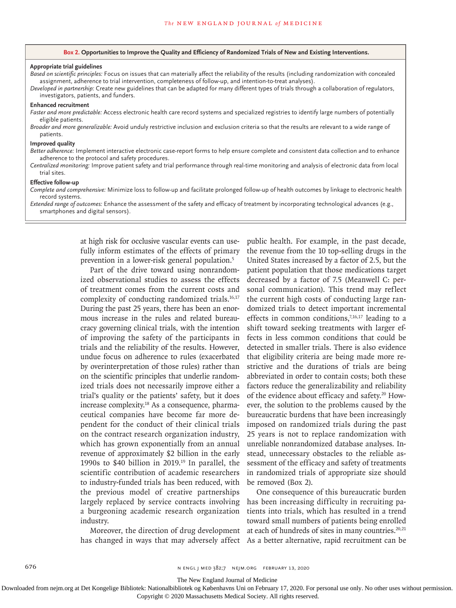#### **Box 2. Opportunities to Improve the Quality and Efficiency of Randomized Trials of New and Existing Interventions.**

# **Appropriate trial guidelines**

*Based on scientific principles:* Focus on issues that can materially affect the reliability of the results (including randomization with concealed assignment, adherence to trial intervention, completeness of follow-up, and intention-to-treat analyses).

*Developed in partnership:* Create new guidelines that can be adapted for many different types of trials through a collaboration of regulators, investigators, patients, and funders.

# **Enhanced recruitment**

*Faster and more predictable:* Access electronic health care record systems and specialized registries to identify large numbers of potentially eligible patients.

*Broader and more generalizable:* Avoid unduly restrictive inclusion and exclusion criteria so that the results are relevant to a wide range of patients.

#### **Improved quality**

*Better adherence:* Implement interactive electronic case-report forms to help ensure complete and consistent data collection and to enhance adherence to the protocol and safety procedures.

*Centralized monitoring:* Improve patient safety and trial performance through real-time monitoring and analysis of electronic data from local trial sites.

# **Effective follow-up**

*Complete and comprehensive:* Minimize loss to follow-up and facilitate prolonged follow-up of health outcomes by linkage to electronic health record systems.

*Extended range of outcomes:* Enhance the assessment of the safety and efficacy of treatment by incorporating technological advances (e.g., smartphones and digital sensors).

> at high risk for occlusive vascular events can usefully inform estimates of the effects of primary prevention in a lower-risk general population.5

> Part of the drive toward using nonrandomized observational studies to assess the effects of treatment comes from the current costs and complexity of conducting randomized trials.<sup>16,17</sup> During the past 25 years, there has been an enormous increase in the rules and related bureaucracy governing clinical trials, with the intention of improving the safety of the participants in trials and the reliability of the results. However, undue focus on adherence to rules (exacerbated by overinterpretation of those rules) rather than on the scientific principles that underlie randomized trials does not necessarily improve either a trial's quality or the patients' safety, but it does increase complexity.18 As a consequence, pharmaceutical companies have become far more dependent for the conduct of their clinical trials on the contract research organization industry, which has grown exponentially from an annual revenue of approximately \$2 billion in the early 1990s to  $$40$  billion in 2019.<sup>19</sup> In parallel, the scientific contribution of academic researchers to industry-funded trials has been reduced, with the previous model of creative partnerships largely replaced by service contracts involving a burgeoning academic research organization industry.

Moreover, the direction of drug development has changed in ways that may adversely affect As a better alternative, rapid recruitment can be

public health. For example, in the past decade, the revenue from the 10 top-selling drugs in the United States increased by a factor of 2.5, but the patient population that those medications target decreased by a factor of 7.5 (Meanwell C: personal communication). This trend may reflect the current high costs of conducting large randomized trials to detect important incremental effects in common conditions, $7,16,17$  leading to a shift toward seeking treatments with larger effects in less common conditions that could be detected in smaller trials. There is also evidence that eligibility criteria are being made more restrictive and the durations of trials are being abbreviated in order to contain costs; both these factors reduce the generalizability and reliability of the evidence about efficacy and safety.20 However, the solution to the problems caused by the bureaucratic burdens that have been increasingly imposed on randomized trials during the past 25 years is not to replace randomization with unreliable nonrandomized database analyses. Instead, unnecessary obstacles to the reliable assessment of the efficacy and safety of treatments in randomized trials of appropriate size should be removed (Box 2).

One consequence of this bureaucratic burden has been increasing difficulty in recruiting patients into trials, which has resulted in a trend toward small numbers of patients being enrolled at each of hundreds of sites in many countries.<sup>20,21</sup>

The New England Journal of Medicine

Downloaded from nejm.org at Det Kongelige Bibliotek: Nationalbibliotek og Københavns Uni on February 17, 2020. For personal use only. No other uses without permission.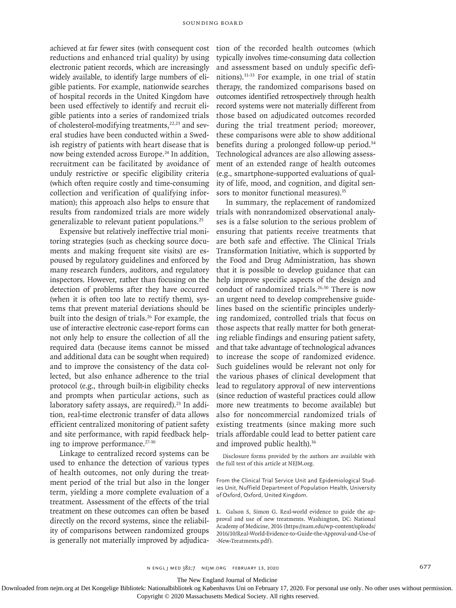achieved at far fewer sites (with consequent cost reductions and enhanced trial quality) by using electronic patient records, which are increasingly widely available, to identify large numbers of eligible patients. For example, nationwide searches of hospital records in the United Kingdom have been used effectively to identify and recruit eligible patients into a series of randomized trials of cholesterol-modifying treatments,<sup>22,23</sup> and several studies have been conducted within a Swedish registry of patients with heart disease that is now being extended across Europe.<sup>24</sup> In addition, recruitment can be facilitated by avoidance of unduly restrictive or specific eligibility criteria (which often require costly and time-consuming collection and verification of qualifying information); this approach also helps to ensure that results from randomized trials are more widely generalizable to relevant patient populations.25

Expensive but relatively ineffective trial monitoring strategies (such as checking source documents and making frequent site visits) are espoused by regulatory guidelines and enforced by many research funders, auditors, and regulatory inspectors. However, rather than focusing on the detection of problems after they have occurred (when it is often too late to rectify them), systems that prevent material deviations should be built into the design of trials.<sup>26</sup> For example, the use of interactive electronic case-report forms can not only help to ensure the collection of all the required data (because items cannot be missed and additional data can be sought when required) and to improve the consistency of the data collected, but also enhance adherence to the trial protocol (e.g., through built-in eligibility checks and prompts when particular actions, such as laboratory safety assays, are required).<sup>23</sup> In addition, real-time electronic transfer of data allows efficient centralized monitoring of patient safety and site performance, with rapid feedback helping to improve performance.27-30

Linkage to centralized record systems can be used to enhance the detection of various types of health outcomes, not only during the treatment period of the trial but also in the longer term, yielding a more complete evaluation of a treatment. Assessment of the effects of the trial treatment on these outcomes can often be based directly on the record systems, since the reliability of comparisons between randomized groups is generally not materially improved by adjudication of the recorded health outcomes (which typically involves time-consuming data collection and assessment based on unduly specific definitions).31-33 For example, in one trial of statin therapy, the randomized comparisons based on outcomes identified retrospectively through health record systems were not materially different from those based on adjudicated outcomes recorded during the trial treatment period; moreover, these comparisons were able to show additional benefits during a prolonged follow-up period.<sup>34</sup> Technological advances are also allowing assessment of an extended range of health outcomes (e.g., smartphone-supported evaluations of quality of life, mood, and cognition, and digital sensors to monitor functional measures).<sup>35</sup>

In summary, the replacement of randomized trials with nonrandomized observational analyses is a false solution to the serious problem of ensuring that patients receive treatments that are both safe and effective. The Clinical Trials Transformation Initiative, which is supported by the Food and Drug Administration, has shown that it is possible to develop guidance that can help improve specific aspects of the design and conduct of randomized trials.<sup>26,30</sup> There is now an urgent need to develop comprehensive guidelines based on the scientific principles underlying randomized, controlled trials that focus on those aspects that really matter for both generating reliable findings and ensuring patient safety, and that take advantage of technological advances to increase the scope of randomized evidence. Such guidelines would be relevant not only for the various phases of clinical development that lead to regulatory approval of new interventions (since reduction of wasteful practices could allow more new treatments to become available) but also for noncommercial randomized trials of existing treatments (since making more such trials affordable could lead to better patient care and improved public health).<sup>36</sup>

Disclosure forms provided by the authors are available with the full text of this article at NEJM.org.

From the Clinical Trial Service Unit and Epidemiological Studies Unit, Nuffield Department of Population Health, University of Oxford, Oxford, United Kingdom.

**1.** Galson S, Simon G. Real-world evidence to guide the approval and use of new treatments. Washington, DC: National Academy of Medicine, 2016 (https://nam.edu/wp-content/uploads/ 2016/10/Real-World-Evidence-to-Guide-the-Approval-and-Use-of -New-Treatments.pdf).

The New England Journal of Medicine

Downloaded from nejm.org at Det Kongelige Bibliotek: Nationalbibliotek og Københavns Uni on February 17, 2020. For personal use only. No other uses without permission. Copyright © 2020 Massachusetts Medical Society. All rights reserved.